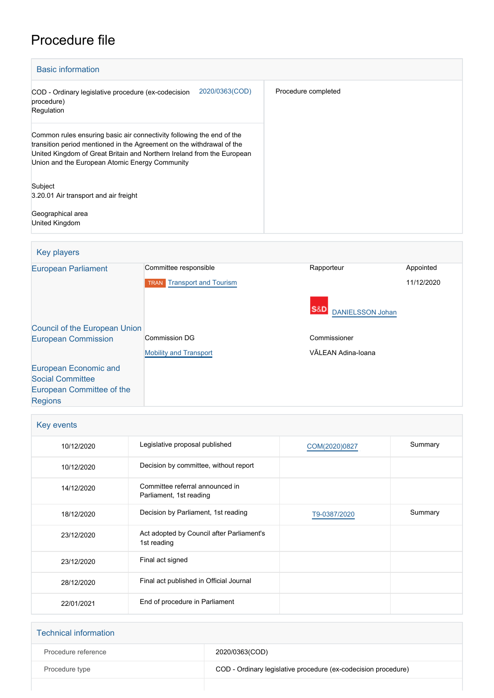# Procedure file



| Key players                          |                                   |                         |            |
|--------------------------------------|-----------------------------------|-------------------------|------------|
| <b>European Parliament</b>           | Committee responsible             | Rapporteur              | Appointed  |
|                                      | <b>TRAN Transport</b> and Tourism |                         | 11/12/2020 |
|                                      |                                   | <b>DANIELSSON Johan</b> |            |
| <b>Council of the European Union</b> |                                   |                         |            |
| <b>European Commission</b>           | <b>Commission DG</b>              | Commissioner            |            |
|                                      | <b>Mobility and Transport</b>     | VĂLEAN Adina-Ioana      |            |
| European Economic and                |                                   |                         |            |
| <b>Social Committee</b>              |                                   |                         |            |
| European Committee of the            |                                   |                         |            |
| <b>Regions</b>                       |                                   |                         |            |

| Key events |                                                            |               |         |  |
|------------|------------------------------------------------------------|---------------|---------|--|
| 10/12/2020 | Legislative proposal published                             | COM(2020)0827 | Summary |  |
| 10/12/2020 | Decision by committee, without report                      |               |         |  |
| 14/12/2020 | Committee referral announced in<br>Parliament, 1st reading |               |         |  |
| 18/12/2020 | Decision by Parliament, 1st reading                        | T9-0387/2020  | Summary |  |
| 23/12/2020 | Act adopted by Council after Parliament's<br>1st reading   |               |         |  |
| 23/12/2020 | Final act signed                                           |               |         |  |
| 28/12/2020 | Final act published in Official Journal                    |               |         |  |
| 22/01/2021 | End of procedure in Parliament                             |               |         |  |

| <b>Technical information</b> |                                                                |
|------------------------------|----------------------------------------------------------------|
| Procedure reference          | 2020/0363(COD)                                                 |
| Procedure type               | COD - Ordinary legislative procedure (ex-codecision procedure) |
|                              |                                                                |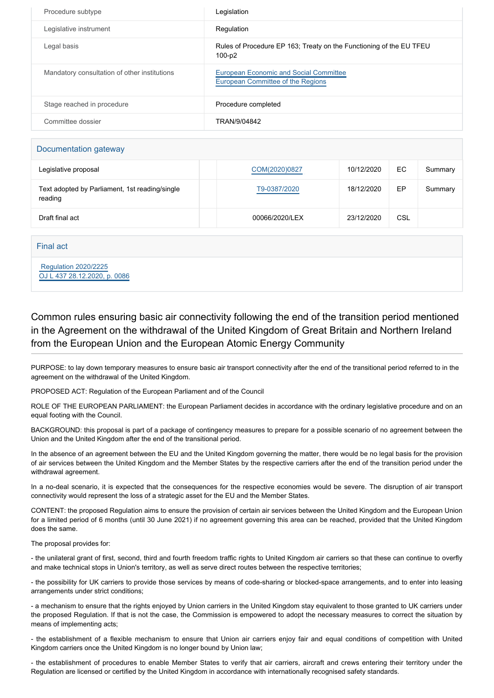| Procedure subtype                            | Legislation                                                                        |
|----------------------------------------------|------------------------------------------------------------------------------------|
| Legislative instrument                       | Regulation                                                                         |
| Legal basis                                  | Rules of Procedure EP 163; Treaty on the Functioning of the EU TFEU<br>100-p2      |
| Mandatory consultation of other institutions | <b>European Economic and Social Committee</b><br>European Committee of the Regions |
| Stage reached in procedure                   | Procedure completed                                                                |
| Committee dossier                            | TRAN/9/04842                                                                       |

### Documentation gateway

| ີ                                                         |                |            |            |         |
|-----------------------------------------------------------|----------------|------------|------------|---------|
| Legislative proposal                                      | COM(2020)0827  | 10/12/2020 | EC         | Summary |
| Text adopted by Parliament, 1st reading/single<br>reading | T9-0387/2020   | 18/12/2020 | EP         | Summary |
| Draft final act                                           | 00066/2020/LEX | 23/12/2020 | <b>CSL</b> |         |

Final act

 [Regulation 2020/2225](https://eur-lex.europa.eu/smartapi/cgi/sga_doc?smartapi!celexplus!prod!CELEXnumdoc&lg=EN&numdoc=32020R2225) [OJ L 437 28.12.2020, p. 0086](https://eur-lex.europa.eu/legal-content/EN/TXT/?uri=OJ:L:2020:437:TOC)

## Common rules ensuring basic air connectivity following the end of the transition period mentioned in the Agreement on the withdrawal of the United Kingdom of Great Britain and Northern Ireland from the European Union and the European Atomic Energy Community

PURPOSE: to lay down temporary measures to ensure basic air transport connectivity after the end of the transitional period referred to in the agreement on the withdrawal of the United Kingdom.

PROPOSED ACT: Regulation of the European Parliament and of the Council

ROLE OF THE EUROPEAN PARLIAMENT: the European Parliament decides in accordance with the ordinary legislative procedure and on an equal footing with the Council.

BACKGROUND: this proposal is part of a package of contingency measures to prepare for a possible scenario of no agreement between the Union and the United Kingdom after the end of the transitional period.

In the absence of an agreement between the EU and the United Kingdom governing the matter, there would be no legal basis for the provision of air services between the United Kingdom and the Member States by the respective carriers after the end of the transition period under the withdrawal agreement.

In a no-deal scenario, it is expected that the consequences for the respective economies would be severe. The disruption of air transport connectivity would represent the loss of a strategic asset for the EU and the Member States.

CONTENT: the proposed Regulation aims to ensure the provision of certain air services between the United Kingdom and the European Union for a limited period of 6 months (until 30 June 2021) if no agreement governing this area can be reached, provided that the United Kingdom does the same.

The proposal provides for:

- the unilateral grant of first, second, third and fourth freedom traffic rights to United Kingdom air carriers so that these can continue to overfly and make technical stops in Union's territory, as well as serve direct routes between the respective territories;

- the possibility for UK carriers to provide those services by means of code-sharing or blocked-space arrangements, and to enter into leasing arrangements under strict conditions;

- a mechanism to ensure that the rights enjoyed by Union carriers in the United Kingdom stay equivalent to those granted to UK carriers under the proposed Regulation. If that is not the case, the Commission is empowered to adopt the necessary measures to correct the situation by means of implementing acts;

- the establishment of a flexible mechanism to ensure that Union air carriers enjoy fair and equal conditions of competition with United Kingdom carriers once the United Kingdom is no longer bound by Union law;

- the establishment of procedures to enable Member States to verify that air carriers, aircraft and crews entering their territory under the Regulation are licensed or certified by the United Kingdom in accordance with internationally recognised safety standards.